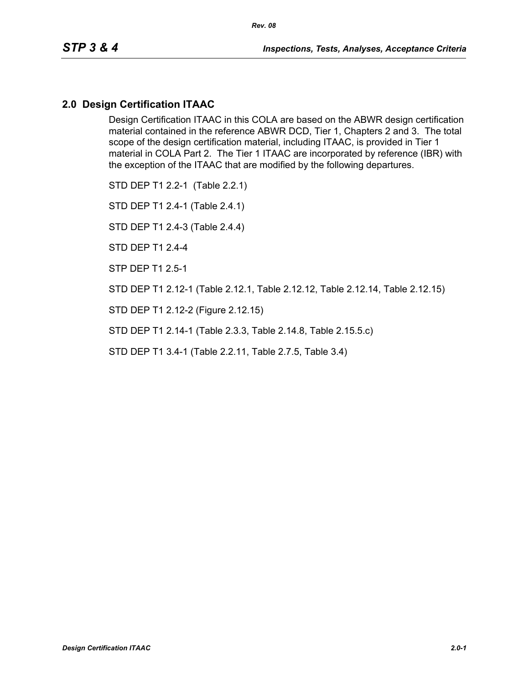### **2.0 Design Certification ITAAC**

Design Certification ITAAC in this COLA are based on the ABWR design certification material contained in the reference ABWR DCD, Tier 1, Chapters 2 and 3. The total scope of the design certification material, including ITAAC, is provided in Tier 1 material in COLA Part 2. The Tier 1 ITAAC are incorporated by reference (IBR) with the exception of the ITAAC that are modified by the following departures.

STD DEP T1 2.2-1 (Table 2.2.1)

STD DEP T1 2.4-1 (Table 2.4.1)

STD DEP T1 2.4-3 (Table 2.4.4)

STD DEP T1 2.4-4

STP DEP T1 2.5-1

STD DEP T1 2.12-1 (Table 2.12.1, Table 2.12.12, Table 2.12.14, Table 2.12.15)

STD DEP T1 2.12-2 (Figure 2.12.15)

STD DEP T1 2.14-1 (Table 2.3.3, Table 2.14.8, Table 2.15.5.c)

STD DEP T1 3.4-1 (Table 2.2.11, Table 2.7.5, Table 3.4)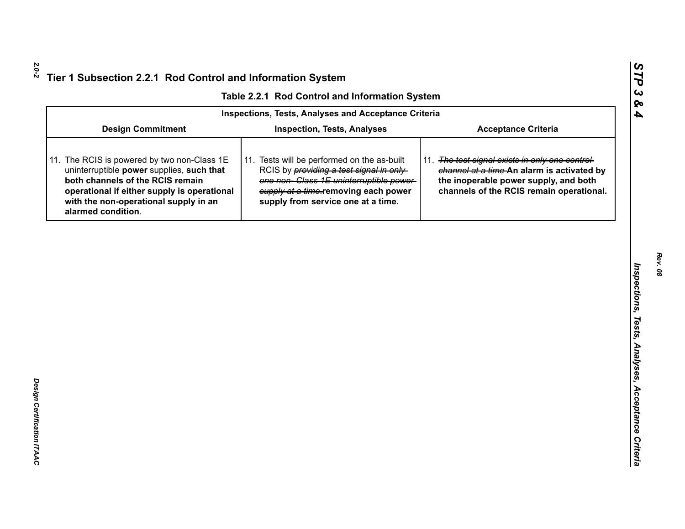|  |  | Table 2.2.1 Rod Control and Information System |  |
|--|--|------------------------------------------------|--|
|--|--|------------------------------------------------|--|

|                                                                                                                                                                                                                                            | Table 2.2.1 Rod Control and Information System                                                                                                                                                                         |                                                                                                                                                                                    |  |  |
|--------------------------------------------------------------------------------------------------------------------------------------------------------------------------------------------------------------------------------------------|------------------------------------------------------------------------------------------------------------------------------------------------------------------------------------------------------------------------|------------------------------------------------------------------------------------------------------------------------------------------------------------------------------------|--|--|
|                                                                                                                                                                                                                                            | <b>Inspections, Tests, Analyses and Acceptance Criteria</b>                                                                                                                                                            |                                                                                                                                                                                    |  |  |
| <b>Design Commitment</b>                                                                                                                                                                                                                   | <b>Inspection, Tests, Analyses</b>                                                                                                                                                                                     | <b>Acceptance Criteria</b>                                                                                                                                                         |  |  |
| 11. The RCIS is powered by two non-Class 1E<br>uninterruptible power supplies, such that<br>both channels of the RCIS remain<br>operational if either supply is operational<br>with the non-operational supply in an<br>alarmed condition. | 11. Tests will be performed on the as-built<br>RCIS by <i>providing a test signal in only</i><br>one non-Class 1E uninterruptible power-<br>supply at a time-removing each power<br>supply from service one at a time. | 11. The test signal exists in only one control-<br>channel at a time-An alarm is activated by<br>the inoperable power supply, and both<br>channels of the RCIS remain operational. |  |  |
|                                                                                                                                                                                                                                            |                                                                                                                                                                                                                        |                                                                                                                                                                                    |  |  |
|                                                                                                                                                                                                                                            |                                                                                                                                                                                                                        |                                                                                                                                                                                    |  |  |
|                                                                                                                                                                                                                                            |                                                                                                                                                                                                                        |                                                                                                                                                                                    |  |  |
|                                                                                                                                                                                                                                            |                                                                                                                                                                                                                        |                                                                                                                                                                                    |  |  |
|                                                                                                                                                                                                                                            |                                                                                                                                                                                                                        |                                                                                                                                                                                    |  |  |
|                                                                                                                                                                                                                                            |                                                                                                                                                                                                                        |                                                                                                                                                                                    |  |  |
|                                                                                                                                                                                                                                            |                                                                                                                                                                                                                        |                                                                                                                                                                                    |  |  |
|                                                                                                                                                                                                                                            |                                                                                                                                                                                                                        |                                                                                                                                                                                    |  |  |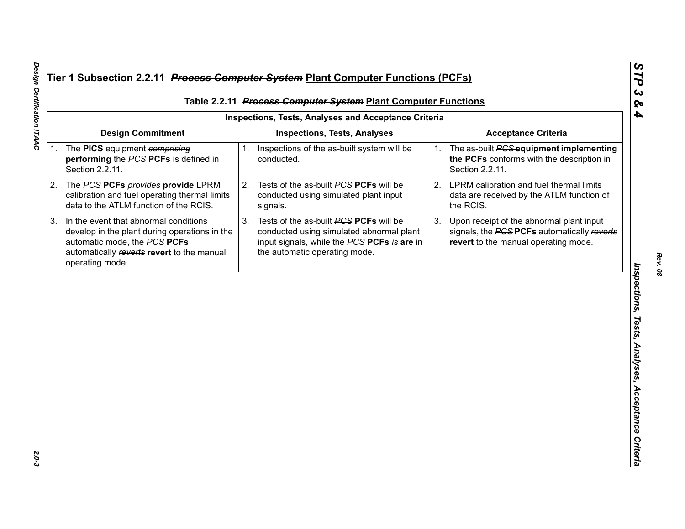|                                                                                                                                                                                         |    | Table 2.2.11 Process Computer System Plant Computer Functions<br><b>Inspections, Tests, Analyses and Acceptance Criteria</b>                                       |                                                     |                                                                                                                                 |  |
|-----------------------------------------------------------------------------------------------------------------------------------------------------------------------------------------|----|--------------------------------------------------------------------------------------------------------------------------------------------------------------------|-----------------------------------------------------|---------------------------------------------------------------------------------------------------------------------------------|--|
| <b>Design Commitment</b>                                                                                                                                                                |    | <b>Inspections, Tests, Analyses</b>                                                                                                                                |                                                     | <b>Acceptance Criteria</b>                                                                                                      |  |
| 1. The PICS equipment comprising<br>performing the PCS PCFs is defined in<br>Section 2.2.11.                                                                                            |    | conducted.                                                                                                                                                         | 1.                                                  | The as-built <b>PCS</b> equipment implementing<br>the PCFs conforms with the description in<br>Section 2.2.11.                  |  |
| The PCS PCFs provides provide LPRM<br>calibration and fuel operating thermal limits<br>data to the ATLM function of the RCIS.                                                           |    | Tests of the as-built PCS PCFs will be<br>conducted using simulated plant input<br>signals.                                                                        | 2.                                                  | LPRM calibration and fuel thermal limits<br>data are received by the ATLM function of<br>the RCIS.                              |  |
| In the event that abnormal conditions<br>develop in the plant during operations in the<br>automatic mode, the PCS PCFs<br>automatically reverts revert to the manual<br>operating mode. | 3. | Tests of the as-built PCS PCFs will be<br>conducted using simulated abnormal plant<br>input signals, while the PCS PCFs is are in<br>the automatic operating mode. | 3.                                                  | Upon receipt of the abnormal plant input<br>signals, the PCS PCFs automatically reverts<br>revert to the manual operating mode. |  |
|                                                                                                                                                                                         |    |                                                                                                                                                                    |                                                     |                                                                                                                                 |  |
|                                                                                                                                                                                         |    |                                                                                                                                                                    |                                                     |                                                                                                                                 |  |
|                                                                                                                                                                                         |    |                                                                                                                                                                    |                                                     |                                                                                                                                 |  |
|                                                                                                                                                                                         |    |                                                                                                                                                                    |                                                     |                                                                                                                                 |  |
|                                                                                                                                                                                         |    |                                                                                                                                                                    |                                                     |                                                                                                                                 |  |
|                                                                                                                                                                                         |    |                                                                                                                                                                    | 1. Inspections of the as-built system will be<br>2. |                                                                                                                                 |  |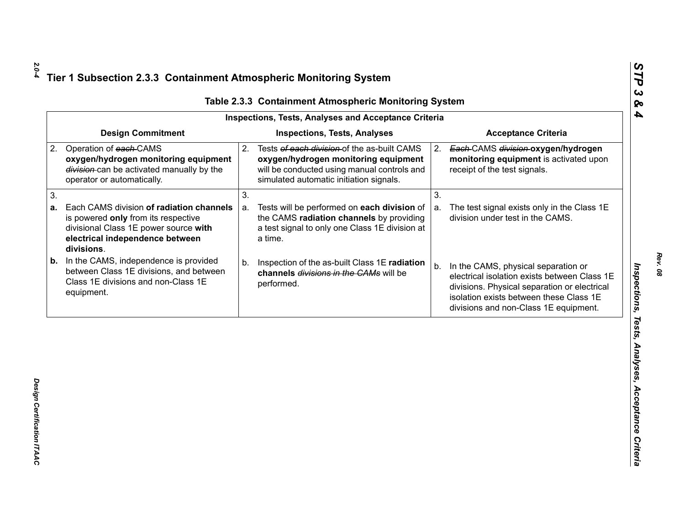| <b>Design Commitment</b><br><b>Inspections, Tests, Analyses</b><br><b>Acceptance Criteria</b><br>Operation of each-CAMS<br>Tests of each division of the as-built CAMS<br>2.<br>Each-CAMS division-oxygen/hydrogen<br>2.<br>oxygen/hydrogen monitoring equipment<br>oxygen/hydrogen monitoring equipment<br>monitoring equipment is activated upon<br>division-can be activated manually by the<br>will be conducted using manual controls and<br>receipt of the test signals.<br>simulated automatic initiation signals.<br>operator or automatically.<br>3.<br>3.<br>Each CAMS division of radiation channels<br>Tests will be performed on each division of<br>The test signal exists only in the Class 1E<br>a.<br>a.<br>the CAMS radiation channels by providing<br>division under test in the CAMS.<br>is powered only from its respective<br>a test signal to only one Class 1E division at<br>divisional Class 1E power source with |  |
|---------------------------------------------------------------------------------------------------------------------------------------------------------------------------------------------------------------------------------------------------------------------------------------------------------------------------------------------------------------------------------------------------------------------------------------------------------------------------------------------------------------------------------------------------------------------------------------------------------------------------------------------------------------------------------------------------------------------------------------------------------------------------------------------------------------------------------------------------------------------------------------------------------------------------------------------|--|
| 2.                                                                                                                                                                                                                                                                                                                                                                                                                                                                                                                                                                                                                                                                                                                                                                                                                                                                                                                                          |  |
| 3.<br>а.                                                                                                                                                                                                                                                                                                                                                                                                                                                                                                                                                                                                                                                                                                                                                                                                                                                                                                                                    |  |
|                                                                                                                                                                                                                                                                                                                                                                                                                                                                                                                                                                                                                                                                                                                                                                                                                                                                                                                                             |  |
| electrical independence between<br>a time.<br>divisions.                                                                                                                                                                                                                                                                                                                                                                                                                                                                                                                                                                                                                                                                                                                                                                                                                                                                                    |  |
| In the CAMS, independence is provided<br>b.<br>Inspection of the as-built Class 1E radiation<br>b.<br>In the CAMS, physical separation or<br>b.<br>between Class 1E divisions, and between<br>channels divisions in the CAMs will be<br>electrical isolation exists between Class 1E<br>Class 1E divisions and non-Class 1E<br>performed.<br>divisions. Physical separation or electrical<br>equipment.<br>isolation exists between these Class 1E<br>divisions and non-Class 1E equipment.                                                                                                                                                                                                                                                                                                                                                                                                                                                 |  |

Design Certification ITAAC *Design Certification ITAAC* 

*Rev. 08*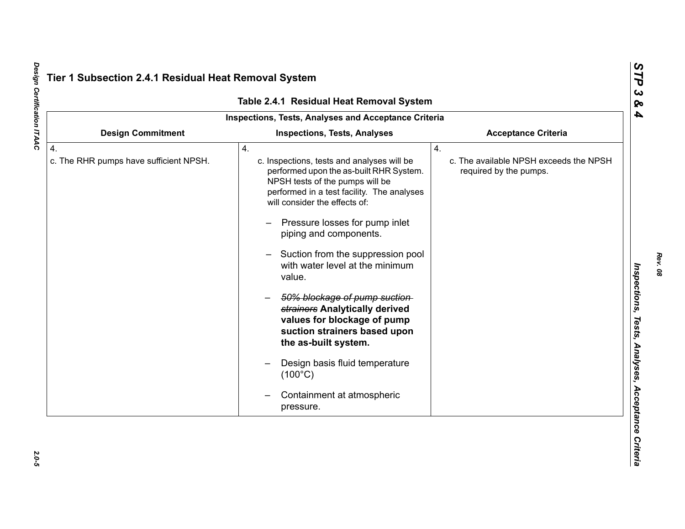| Table 2.4.1 Residual Heat Removal System                   |                                                                                                                                                                                                                                                                                                                                                                                                                                                                                                                                                                                                                        |                                                                        |  |  |
|------------------------------------------------------------|------------------------------------------------------------------------------------------------------------------------------------------------------------------------------------------------------------------------------------------------------------------------------------------------------------------------------------------------------------------------------------------------------------------------------------------------------------------------------------------------------------------------------------------------------------------------------------------------------------------------|------------------------------------------------------------------------|--|--|
|                                                            | Inspections, Tests, Analyses and Acceptance Criteria                                                                                                                                                                                                                                                                                                                                                                                                                                                                                                                                                                   |                                                                        |  |  |
| <b>Design Commitment</b>                                   | <b>Inspections, Tests, Analyses</b>                                                                                                                                                                                                                                                                                                                                                                                                                                                                                                                                                                                    | <b>Acceptance Criteria</b>                                             |  |  |
| $\overline{4}$ .<br>c. The RHR pumps have sufficient NPSH. | 4.<br>c. Inspections, tests and analyses will be<br>performed upon the as-built RHR System.<br>NPSH tests of the pumps will be<br>performed in a test facility. The analyses<br>will consider the effects of:<br>Pressure losses for pump inlet<br>piping and components.<br>Suction from the suppression pool<br>with water level at the minimum<br>value.<br>50% blockage of pump suction-<br>strainers Analytically derived<br>values for blockage of pump<br>suction strainers based upon<br>the as-built system.<br>Design basis fluid temperature<br>$(100^{\circ}C)$<br>Containment at atmospheric<br>pressure. | 4.<br>c. The available NPSH exceeds the NPSH<br>required by the pumps. |  |  |

Design Certification ITAAC *Design Certification ITAAC 2.0-5*

 $2.0 - 5$ 

*Rev. 08*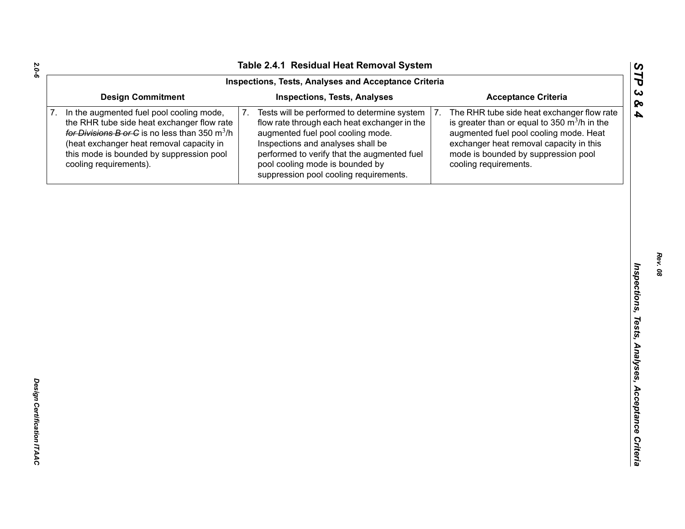| Inspections, Tests, Analyses and Acceptance Criteria                                                                                                                                                                                                         |                                                                                                                                                                                                                                                                                                         |                                                                                                                                                                                                                                                         |  |  |
|--------------------------------------------------------------------------------------------------------------------------------------------------------------------------------------------------------------------------------------------------------------|---------------------------------------------------------------------------------------------------------------------------------------------------------------------------------------------------------------------------------------------------------------------------------------------------------|---------------------------------------------------------------------------------------------------------------------------------------------------------------------------------------------------------------------------------------------------------|--|--|
| <b>Design Commitment</b>                                                                                                                                                                                                                                     | <b>Inspections, Tests, Analyses</b>                                                                                                                                                                                                                                                                     | <b>Acceptance Criteria</b>                                                                                                                                                                                                                              |  |  |
| In the augmented fuel pool cooling mode,<br>the RHR tube side heat exchanger flow rate<br>for Divisions B or C is no less than 350 $m^3/h$<br>(heat exchanger heat removal capacity in<br>this mode is bounded by suppression pool<br>cooling requirements). | Tests will be performed to determine system<br>7.<br>flow rate through each heat exchanger in the<br>augmented fuel pool cooling mode.<br>Inspections and analyses shall be<br>performed to verify that the augmented fuel<br>pool cooling mode is bounded by<br>suppression pool cooling requirements. | The RHR tube side heat exchanger flow rate<br>7.<br>is greater than or equal to 350 $m^3/h$ in the<br>augmented fuel pool cooling mode. Heat<br>exchanger heat removal capacity in this<br>mode is bounded by suppression pool<br>cooling requirements. |  |  |
|                                                                                                                                                                                                                                                              |                                                                                                                                                                                                                                                                                                         |                                                                                                                                                                                                                                                         |  |  |
|                                                                                                                                                                                                                                                              |                                                                                                                                                                                                                                                                                                         |                                                                                                                                                                                                                                                         |  |  |
|                                                                                                                                                                                                                                                              |                                                                                                                                                                                                                                                                                                         |                                                                                                                                                                                                                                                         |  |  |
|                                                                                                                                                                                                                                                              |                                                                                                                                                                                                                                                                                                         |                                                                                                                                                                                                                                                         |  |  |
|                                                                                                                                                                                                                                                              |                                                                                                                                                                                                                                                                                                         |                                                                                                                                                                                                                                                         |  |  |
|                                                                                                                                                                                                                                                              |                                                                                                                                                                                                                                                                                                         |                                                                                                                                                                                                                                                         |  |  |
|                                                                                                                                                                                                                                                              |                                                                                                                                                                                                                                                                                                         |                                                                                                                                                                                                                                                         |  |  |
|                                                                                                                                                                                                                                                              |                                                                                                                                                                                                                                                                                                         |                                                                                                                                                                                                                                                         |  |  |
|                                                                                                                                                                                                                                                              |                                                                                                                                                                                                                                                                                                         |                                                                                                                                                                                                                                                         |  |  |
|                                                                                                                                                                                                                                                              |                                                                                                                                                                                                                                                                                                         |                                                                                                                                                                                                                                                         |  |  |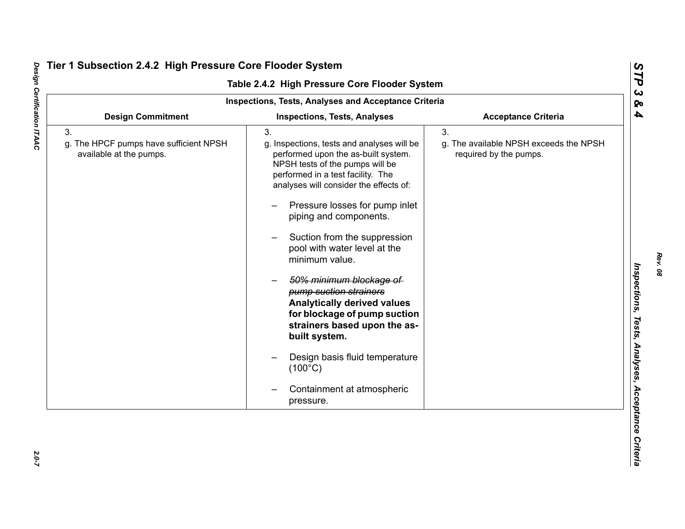| <b>Inspections, Tests, Analyses and Acceptance Criteria</b>             |                                                                                                                                                                                                                                                                                                                                                                                                                                                                                                                                                                                                                                      |                                                                        |  |  |
|-------------------------------------------------------------------------|--------------------------------------------------------------------------------------------------------------------------------------------------------------------------------------------------------------------------------------------------------------------------------------------------------------------------------------------------------------------------------------------------------------------------------------------------------------------------------------------------------------------------------------------------------------------------------------------------------------------------------------|------------------------------------------------------------------------|--|--|
| <b>Design Commitment</b>                                                | <b>Inspections, Tests, Analyses</b>                                                                                                                                                                                                                                                                                                                                                                                                                                                                                                                                                                                                  | <b>Acceptance Criteria</b>                                             |  |  |
| 3.<br>g. The HPCF pumps have sufficient NPSH<br>available at the pumps. | 3.<br>g. Inspections, tests and analyses will be<br>performed upon the as-built system.<br>NPSH tests of the pumps will be<br>performed in a test facility. The<br>analyses will consider the effects of:<br>Pressure losses for pump inlet<br>piping and components.<br>Suction from the suppression<br>pool with water level at the<br>minimum value.<br>50% minimum blockage of<br>pump suction strainers<br><b>Analytically derived values</b><br>for blockage of pump suction<br>strainers based upon the as-<br>built system.<br>Design basis fluid temperature<br>$(100^{\circ}C)$<br>Containment at atmospheric<br>pressure. | 3.<br>g. The available NPSH exceeds the NPSH<br>required by the pumps. |  |  |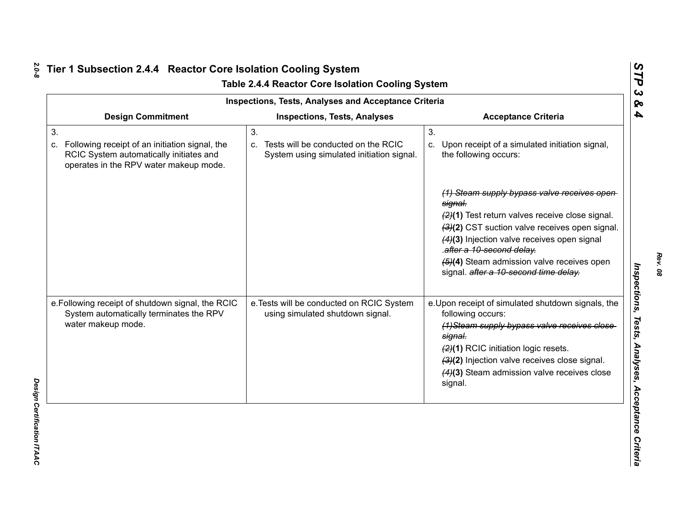| <b>Inspections, Tests, Analyses and Acceptance Criteria</b>                                                                                     |                                                                                           |                                                                                                                                                                                                                                                                                                                                                                                                                    |  |  |  |
|-------------------------------------------------------------------------------------------------------------------------------------------------|-------------------------------------------------------------------------------------------|--------------------------------------------------------------------------------------------------------------------------------------------------------------------------------------------------------------------------------------------------------------------------------------------------------------------------------------------------------------------------------------------------------------------|--|--|--|
| <b>Design Commitment</b>                                                                                                                        | <b>Inspections, Tests, Analyses</b>                                                       | <b>Acceptance Criteria</b>                                                                                                                                                                                                                                                                                                                                                                                         |  |  |  |
| 3.<br>Following receipt of an initiation signal, the<br>C.<br>RCIC System automatically initiates and<br>operates in the RPV water makeup mode. | 3.<br>c. Tests will be conducted on the RCIC<br>System using simulated initiation signal. | 3.<br>c. Upon receipt of a simulated initiation signal,<br>the following occurs:<br>(1) Steam supply bypass valve receives open<br>signal.<br>(2)(1) Test return valves receive close signal.<br>(3)(2) CST suction valve receives open signal.<br>(4)(3) Injection valve receives open signal<br>.after a 10-second delay.<br>(5)(4) Steam admission valve receives open<br>signal. after a 10-second time delay. |  |  |  |
| e. Following receipt of shutdown signal, the RCIC<br>System automatically terminates the RPV<br>water makeup mode.                              | e. Tests will be conducted on RCIC System<br>using simulated shutdown signal.             | e. Upon receipt of simulated shutdown signals, the<br>following occurs:<br>(1) Steam supply bypass valve receives close<br>signal.<br>(2)(1) RCIC initiation logic resets.<br>(3)(2) Injection valve receives close signal.<br>(4)(3) Steam admission valve receives close<br>signal.                                                                                                                              |  |  |  |

*Rev. 08*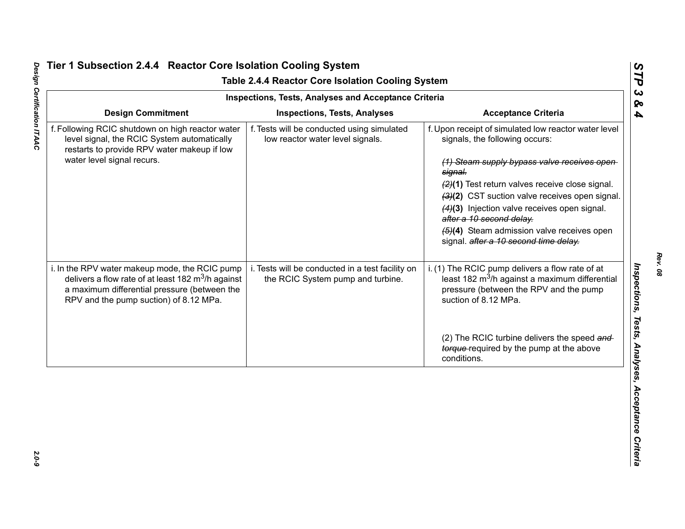| <b>Inspections, Tests, Analyses and Acceptance Criteria</b>                                                                                                                                              |                                                                                       |                                                                                                                                                                                                                                                                                                                                                                                                                                    |  |  |  |
|----------------------------------------------------------------------------------------------------------------------------------------------------------------------------------------------------------|---------------------------------------------------------------------------------------|------------------------------------------------------------------------------------------------------------------------------------------------------------------------------------------------------------------------------------------------------------------------------------------------------------------------------------------------------------------------------------------------------------------------------------|--|--|--|
| <b>Design Commitment</b>                                                                                                                                                                                 | <b>Inspections, Tests, Analyses</b>                                                   | <b>Acceptance Criteria</b>                                                                                                                                                                                                                                                                                                                                                                                                         |  |  |  |
| f. Following RCIC shutdown on high reactor water<br>level signal, the RCIC System automatically<br>restarts to provide RPV water makeup if low<br>water level signal recurs.                             | f. Tests will be conducted using simulated<br>low reactor water level signals.        | f. Upon receipt of simulated low reactor water level<br>signals, the following occurs:<br>(1) Steam supply bypass valve receives open<br>signal.<br>(2)(1) Test return valves receive close signal.<br>(3)(2) CST suction valve receives open signal.<br>(4)(3) Injection valve receives open signal.<br>after a 10 second delay.<br>$\left(4\right)$ Steam admission valve receives open<br>signal. after a 10 second time delay. |  |  |  |
| i. In the RPV water makeup mode, the RCIC pump<br>delivers a flow rate of at least 182 $\text{m}^3$ /h against<br>a maximum differential pressure (between the<br>RPV and the pump suction) of 8.12 MPa. | i. Tests will be conducted in a test facility on<br>the RCIC System pump and turbine. | i. (1) The RCIC pump delivers a flow rate of at<br>least 182 m <sup>3</sup> /h against a maximum differential<br>pressure (between the RPV and the pump<br>suction of 8.12 MPa.<br>(2) The RCIC turbine delivers the speed and                                                                                                                                                                                                     |  |  |  |
|                                                                                                                                                                                                          |                                                                                       | torque-required by the pump at the above<br>conditions.                                                                                                                                                                                                                                                                                                                                                                            |  |  |  |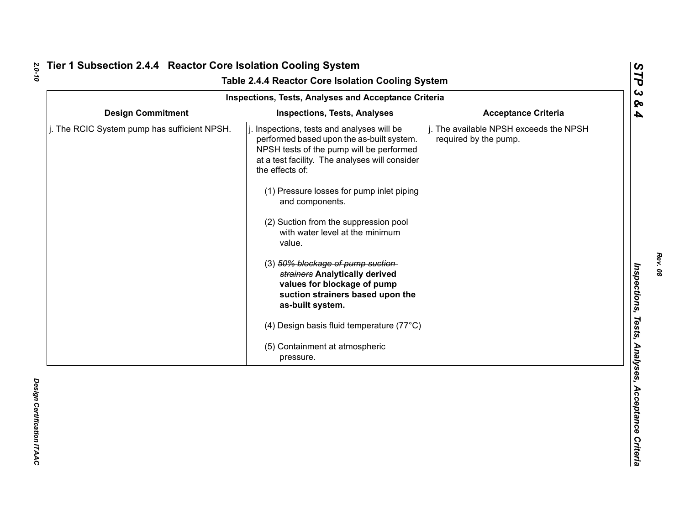|                                              | Table 2.4.4 Reactor Core Isolation Cooling System<br><b>Inspections, Tests, Analyses and Acceptance Criteria</b>                                                                                                                                                                                                                                                                                                                                                                                                                                                                                                      |                                                                 |
|----------------------------------------------|-----------------------------------------------------------------------------------------------------------------------------------------------------------------------------------------------------------------------------------------------------------------------------------------------------------------------------------------------------------------------------------------------------------------------------------------------------------------------------------------------------------------------------------------------------------------------------------------------------------------------|-----------------------------------------------------------------|
| <b>Design Commitment</b>                     | <b>Inspections, Tests, Analyses</b>                                                                                                                                                                                                                                                                                                                                                                                                                                                                                                                                                                                   | <b>Acceptance Criteria</b>                                      |
| j. The RCIC System pump has sufficient NPSH. | Inspections, tests and analyses will be<br>performed based upon the as-built system.<br>NPSH tests of the pump will be performed<br>at a test facility. The analyses will consider<br>the effects of:<br>(1) Pressure losses for pump inlet piping<br>and components.<br>(2) Suction from the suppression pool<br>with water level at the minimum<br>value.<br>(3) 50% blockage of pump suction-<br>strainers Analytically derived<br>values for blockage of pump<br>suction strainers based upon the<br>as-built system.<br>(4) Design basis fluid temperature (77°C)<br>(5) Containment at atmospheric<br>pressure. | j. The available NPSH exceeds the NPSH<br>required by the pump. |

*Rev. 08*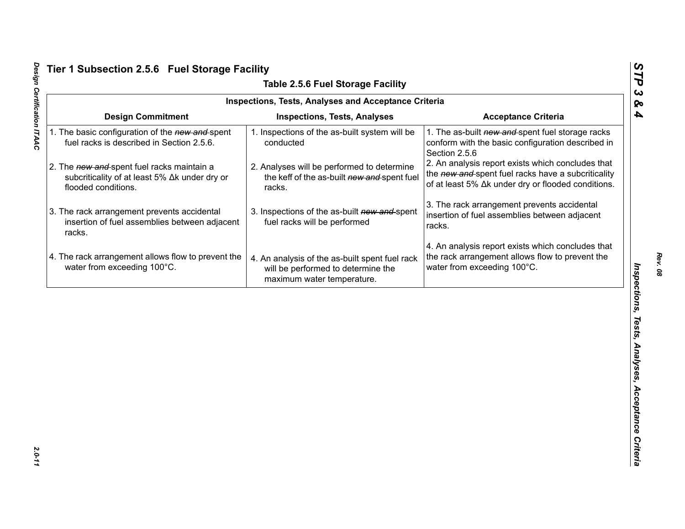| <b>Inspections, Tests, Analyses and Acceptance Criteria</b><br><b>Design Commitment</b><br><b>Acceptance Criteria</b><br><b>Inspections, Tests, Analyses</b><br>1. The as-built new and spent fuel storage racks<br>1. The basic configuration of the new and spent<br>1. Inspections of the as-built system will be<br>fuel racks is described in Section 2.5.6.<br>conducted<br>conform with the basic configuration described in<br>Section 2.5.6<br>2. An analysis report exists which concludes that<br>2. The new and spent fuel racks maintain a<br>2. Analyses will be performed to determine<br>the new and spent fuel racks have a subcriticality<br>subcriticality of at least 5% ∆k under dry or<br>the keff of the as-built new and spent fuel<br>of at least 5% Δk under dry or flooded conditions.<br>flooded conditions.<br>racks.<br>3. The rack arrangement prevents accidental<br>3. The rack arrangement prevents accidental<br>3. Inspections of the as-built new and spent<br>insertion of fuel assemblies between adjacent<br>insertion of fuel assemblies between adjacent<br>fuel racks will be performed<br>racks.<br>racks.<br>4. An analysis report exists which concludes that |
|-------------------------------------------------------------------------------------------------------------------------------------------------------------------------------------------------------------------------------------------------------------------------------------------------------------------------------------------------------------------------------------------------------------------------------------------------------------------------------------------------------------------------------------------------------------------------------------------------------------------------------------------------------------------------------------------------------------------------------------------------------------------------------------------------------------------------------------------------------------------------------------------------------------------------------------------------------------------------------------------------------------------------------------------------------------------------------------------------------------------------------------------------------------------------------------------------------------|
|                                                                                                                                                                                                                                                                                                                                                                                                                                                                                                                                                                                                                                                                                                                                                                                                                                                                                                                                                                                                                                                                                                                                                                                                             |
|                                                                                                                                                                                                                                                                                                                                                                                                                                                                                                                                                                                                                                                                                                                                                                                                                                                                                                                                                                                                                                                                                                                                                                                                             |
|                                                                                                                                                                                                                                                                                                                                                                                                                                                                                                                                                                                                                                                                                                                                                                                                                                                                                                                                                                                                                                                                                                                                                                                                             |
|                                                                                                                                                                                                                                                                                                                                                                                                                                                                                                                                                                                                                                                                                                                                                                                                                                                                                                                                                                                                                                                                                                                                                                                                             |
| 4. The rack arrangement allows flow to prevent the<br>the rack arrangement allows flow to prevent the<br>4. An analysis of the as-built spent fuel rack<br>water from exceeding 100°C.<br>water from exceeding 100°C.<br>will be performed to determine the<br>maximum water temperature.                                                                                                                                                                                                                                                                                                                                                                                                                                                                                                                                                                                                                                                                                                                                                                                                                                                                                                                   |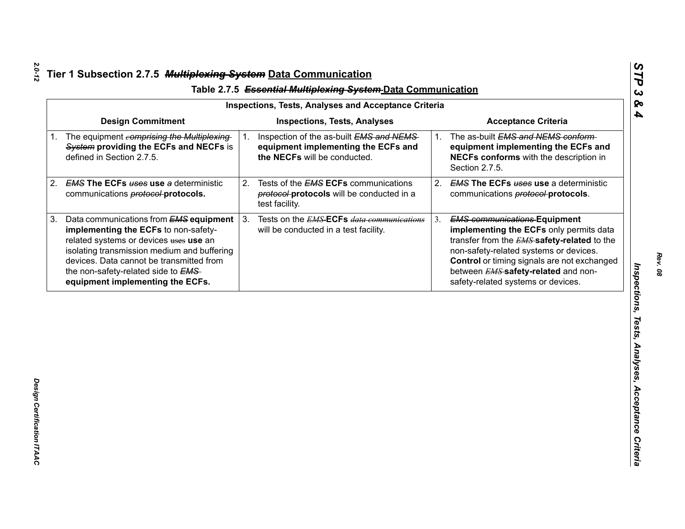| <b>Design Commitment</b><br><b>Inspections, Tests, Analyses</b><br><b>Acceptance Criteria</b><br>The equipment comprising the Multiplexing<br>The as-built EMS and NEMS conform-<br>Inspection of the as-built EMS and NEMS<br>1.<br>1.<br>System providing the ECFs and NECFs is<br>equipment implementing the ECFs and<br>defined in Section 2.7.5.<br>the NECFs will be conducted.<br>NECFs conforms with the description in<br>Section 2.7.5.<br><b>EMS The ECFs uses use a deterministic</b><br>Tests of the <b>EMS ECFs</b> communications<br>2.<br>2.<br>communications <b>protocol-protocols</b> .<br>protocol-protocols will be conducted in a<br>communications <b>protocol-protocols</b> .<br>test facility.<br>Tests on the <i>EMS</i> -ECFs <i>data communications</i><br>3.<br><b>EMS communications Equipment</b><br>Data communications from <b>EMS equipment</b><br>3.<br>implementing the ECFs to non-safety-<br>will be conducted in a test facility.<br>related systems or devices uses use an<br>isolating transmission medium and buffering<br>non-safety-related systems or devices.<br>devices. Data cannot be transmitted from<br>the non-safety-related side to EMS-<br>between <b>EMS</b> safety-related and non- | equipment implementing the ECFs and<br><b>EMS The ECFs uses use a deterministic</b><br>safety-related systems or devices.<br>equipment implementing the ECFs. |    |  | <b>Inspections, Tests, Analyses and Acceptance Criteria</b> |  |  |
|----------------------------------------------------------------------------------------------------------------------------------------------------------------------------------------------------------------------------------------------------------------------------------------------------------------------------------------------------------------------------------------------------------------------------------------------------------------------------------------------------------------------------------------------------------------------------------------------------------------------------------------------------------------------------------------------------------------------------------------------------------------------------------------------------------------------------------------------------------------------------------------------------------------------------------------------------------------------------------------------------------------------------------------------------------------------------------------------------------------------------------------------------------------------------------------------------------------------------------------------|---------------------------------------------------------------------------------------------------------------------------------------------------------------|----|--|-------------------------------------------------------------|--|--|
|                                                                                                                                                                                                                                                                                                                                                                                                                                                                                                                                                                                                                                                                                                                                                                                                                                                                                                                                                                                                                                                                                                                                                                                                                                              | implementing the ECFs only permits data<br>transfer from the <b>EMS</b> safety-related to the<br>Control or timing signals are not exchanged                  |    |  |                                                             |  |  |
|                                                                                                                                                                                                                                                                                                                                                                                                                                                                                                                                                                                                                                                                                                                                                                                                                                                                                                                                                                                                                                                                                                                                                                                                                                              |                                                                                                                                                               |    |  |                                                             |  |  |
|                                                                                                                                                                                                                                                                                                                                                                                                                                                                                                                                                                                                                                                                                                                                                                                                                                                                                                                                                                                                                                                                                                                                                                                                                                              |                                                                                                                                                               | 2. |  |                                                             |  |  |
|                                                                                                                                                                                                                                                                                                                                                                                                                                                                                                                                                                                                                                                                                                                                                                                                                                                                                                                                                                                                                                                                                                                                                                                                                                              |                                                                                                                                                               | 3. |  |                                                             |  |  |
|                                                                                                                                                                                                                                                                                                                                                                                                                                                                                                                                                                                                                                                                                                                                                                                                                                                                                                                                                                                                                                                                                                                                                                                                                                              |                                                                                                                                                               |    |  |                                                             |  |  |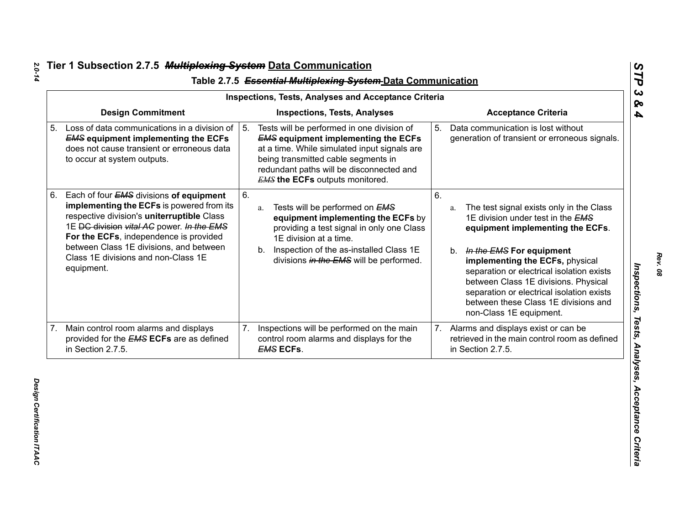|    | Table 2.7.5 Essential Multiplexing System-Data Communication<br><b>Inspections, Tests, Analyses and Acceptance Criteria</b>                                                                                                                                                                                               |                                                                                                                                                                                                                                                                             |                                                                                                                                                                                                                                                                                                                                                                                                      |  |  |  |  |
|----|---------------------------------------------------------------------------------------------------------------------------------------------------------------------------------------------------------------------------------------------------------------------------------------------------------------------------|-----------------------------------------------------------------------------------------------------------------------------------------------------------------------------------------------------------------------------------------------------------------------------|------------------------------------------------------------------------------------------------------------------------------------------------------------------------------------------------------------------------------------------------------------------------------------------------------------------------------------------------------------------------------------------------------|--|--|--|--|
|    | <b>Design Commitment</b>                                                                                                                                                                                                                                                                                                  | <b>Inspections, Tests, Analyses</b>                                                                                                                                                                                                                                         | <b>Acceptance Criteria</b>                                                                                                                                                                                                                                                                                                                                                                           |  |  |  |  |
| 5. | Loss of data communications in a division of<br><b>EMS equipment implementing the ECFs</b><br>does not cause transient or erroneous data<br>to occur at system outputs.                                                                                                                                                   | Tests will be performed in one division of<br>5.<br><b>EMS equipment implementing the ECFs</b><br>at a time. While simulated input signals are<br>being transmitted cable segments in<br>redundant paths will be disconnected and<br><b>EMS the ECFs</b> outputs monitored. | 5. Data communication is lost without<br>generation of transient or erroneous signals.                                                                                                                                                                                                                                                                                                               |  |  |  |  |
| 6. | Each of four EMS divisions of equipment<br>implementing the ECFs is powered from its<br>respective division's uniterruptible Class<br>1E DC division vital AC power. In the EMS<br>For the ECFs, independence is provided<br>between Class 1E divisions, and between<br>Class 1E divisions and non-Class 1E<br>equipment. | 6.<br>Tests will be performed on <b>EMS</b><br>a.<br>equipment implementing the ECFs by<br>providing a test signal in only one Class<br>1E division at a time.<br>Inspection of the as-installed Class 1E<br>b.<br>divisions in the EMS will be performed.                  | 6.<br>The test signal exists only in the Class<br>a.<br>1E division under test in the EMS<br>equipment implementing the ECFs.<br>b. In the EMS For equipment<br>implementing the ECFs, physical<br>separation or electrical isolation exists<br>between Class 1E divisions. Physical<br>separation or electrical isolation exists<br>between these Class 1E divisions and<br>non-Class 1E equipment. |  |  |  |  |
|    | 7. Main control room alarms and displays<br>provided for the <b>EMS ECFs</b> are as defined<br>in Section 2.7.5.                                                                                                                                                                                                          | Inspections will be performed on the main<br>7.<br>control room alarms and displays for the<br><b>EMS ECFs.</b>                                                                                                                                                             | 7. Alarms and displays exist or can be<br>retrieved in the main control room as defined<br>in Section 2.7.5.                                                                                                                                                                                                                                                                                         |  |  |  |  |

*Rev. 08*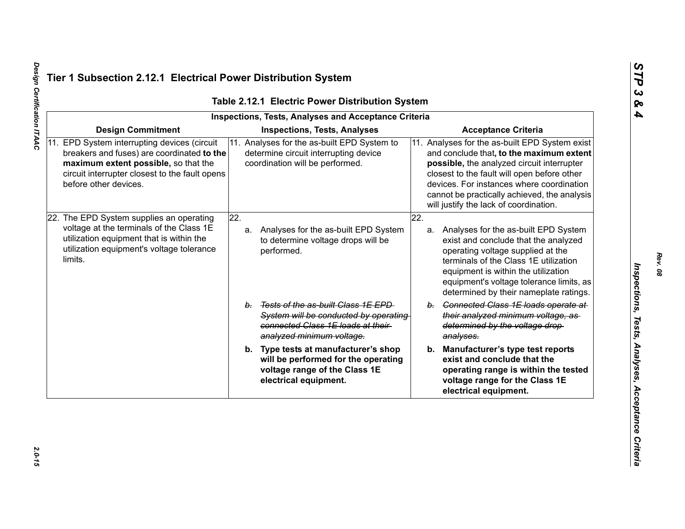|                                                                                                                                                                                                               | <b>Inspections, Tests, Analyses and Acceptance Criteria</b>                                                                                      |     |                                                                                                                                                                                                                                                                                                                                |
|---------------------------------------------------------------------------------------------------------------------------------------------------------------------------------------------------------------|--------------------------------------------------------------------------------------------------------------------------------------------------|-----|--------------------------------------------------------------------------------------------------------------------------------------------------------------------------------------------------------------------------------------------------------------------------------------------------------------------------------|
| <b>Design Commitment</b>                                                                                                                                                                                      | <b>Inspections, Tests, Analyses</b>                                                                                                              |     | <b>Acceptance Criteria</b>                                                                                                                                                                                                                                                                                                     |
| 11. EPD System interrupting devices (circuit<br>breakers and fuses) are coordinated to the<br>maximum extent possible, so that the<br>circuit interrupter closest to the fault opens<br>before other devices. | 11. Analyses for the as-built EPD System to<br>determine circuit interrupting device<br>coordination will be performed.                          |     | 11. Analyses for the as-built EPD System exist<br>and conclude that, to the maximum extent<br>possible, the analyzed circuit interrupter<br>closest to the fault will open before other<br>devices. For instances where coordination<br>cannot be practically achieved, the analysis<br>will justify the lack of coordination. |
| 22. The EPD System supplies an operating<br>voltage at the terminals of the Class 1E<br>utilization equipment that is within the<br>utilization equipment's voltage tolerance<br>limits.                      | $\overline{22}$ .<br>Analyses for the as-built EPD System<br>a.<br>to determine voltage drops will be<br>performed.                              | 22. | a. Analyses for the as-built EPD System<br>exist and conclude that the analyzed<br>operating voltage supplied at the<br>terminals of the Class 1E utilization<br>equipment is within the utilization<br>equipment's voltage tolerance limits, as<br>determined by their nameplate ratings.                                     |
|                                                                                                                                                                                                               | b. Tests of the as-built Class 1E EPD<br>System will be conducted by operating<br>connected Class 1E loads at their<br>analyzed minimum voltage. |     | b. Connected Class 1E loads operate at<br>their analyzed minimum voltage, as-<br>determined by the voltage drop-<br>analyses.                                                                                                                                                                                                  |
|                                                                                                                                                                                                               | b. Type tests at manufacturer's shop<br>will be performed for the operating<br>voltage range of the Class 1E<br>electrical equipment.            |     | b. Manufacturer's type test reports<br>exist and conclude that the<br>operating range is within the tested<br>voltage range for the Class 1E<br>electrical equipment.                                                                                                                                                          |

Design Certification ITAAC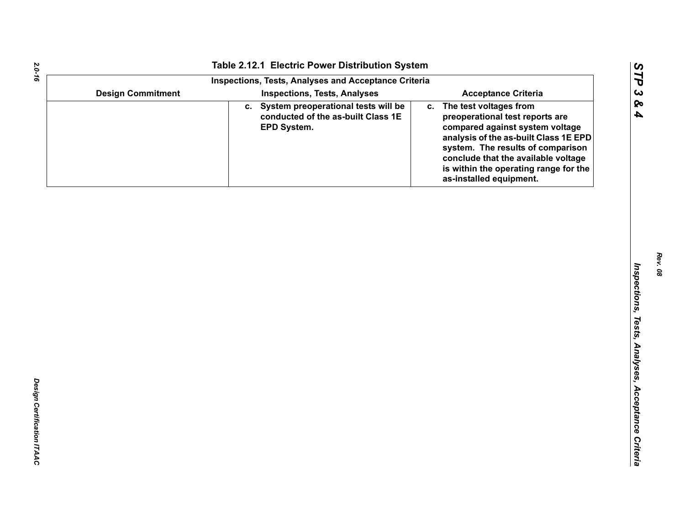|  |                          | Table 2.12.1 Electric Power Distribution System                                             |                                                                                                                                                                                                                                                                                             |  |  |
|--|--------------------------|---------------------------------------------------------------------------------------------|---------------------------------------------------------------------------------------------------------------------------------------------------------------------------------------------------------------------------------------------------------------------------------------------|--|--|
|  |                          | <b>Inspections, Tests, Analyses and Acceptance Criteria</b>                                 |                                                                                                                                                                                                                                                                                             |  |  |
|  | <b>Design Commitment</b> | <b>Inspections, Tests, Analyses</b>                                                         | <b>Acceptance Criteria</b>                                                                                                                                                                                                                                                                  |  |  |
|  |                          | c. System preoperational tests will be<br>conducted of the as-built Class 1E<br>EPD System. | The test voltages from<br>C.<br>preoperational test reports are<br>compared against system voltage<br>analysis of the as-built Class 1E EPD<br>system. The results of comparison<br>conclude that the available voltage<br>is within the operating range for the<br>as-installed equipment. |  |  |
|  |                          |                                                                                             |                                                                                                                                                                                                                                                                                             |  |  |
|  |                          |                                                                                             |                                                                                                                                                                                                                                                                                             |  |  |
|  |                          |                                                                                             |                                                                                                                                                                                                                                                                                             |  |  |
|  |                          |                                                                                             |                                                                                                                                                                                                                                                                                             |  |  |
|  |                          |                                                                                             |                                                                                                                                                                                                                                                                                             |  |  |
|  |                          |                                                                                             |                                                                                                                                                                                                                                                                                             |  |  |
|  |                          |                                                                                             |                                                                                                                                                                                                                                                                                             |  |  |
|  |                          |                                                                                             |                                                                                                                                                                                                                                                                                             |  |  |
|  |                          |                                                                                             |                                                                                                                                                                                                                                                                                             |  |  |
|  |                          |                                                                                             |                                                                                                                                                                                                                                                                                             |  |  |
|  |                          |                                                                                             |                                                                                                                                                                                                                                                                                             |  |  |
|  |                          |                                                                                             |                                                                                                                                                                                                                                                                                             |  |  |
|  |                          |                                                                                             |                                                                                                                                                                                                                                                                                             |  |  |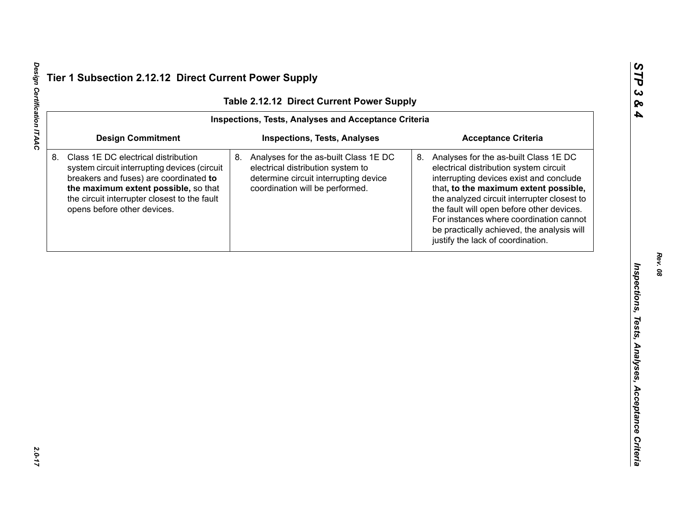| Table 2.12.12 Direct Current Power Supply |                                                                                                                                                                                                                                                      |                                                                                                                                                              |                                                                                                                                                                                                                                                                                                                                                                                                  |  |  |  |
|-------------------------------------------|------------------------------------------------------------------------------------------------------------------------------------------------------------------------------------------------------------------------------------------------------|--------------------------------------------------------------------------------------------------------------------------------------------------------------|--------------------------------------------------------------------------------------------------------------------------------------------------------------------------------------------------------------------------------------------------------------------------------------------------------------------------------------------------------------------------------------------------|--|--|--|
|                                           | <b>Inspections, Tests, Analyses and Acceptance Criteria</b>                                                                                                                                                                                          |                                                                                                                                                              |                                                                                                                                                                                                                                                                                                                                                                                                  |  |  |  |
|                                           | <b>Design Commitment</b>                                                                                                                                                                                                                             | <b>Inspections, Tests, Analyses</b>                                                                                                                          | <b>Acceptance Criteria</b>                                                                                                                                                                                                                                                                                                                                                                       |  |  |  |
|                                           | Class 1E DC electrical distribution<br>system circuit interrupting devices (circuit<br>breakers and fuses) are coordinated to<br>the maximum extent possible, so that<br>the circuit interrupter closest to the fault<br>opens before other devices. | 8.<br>Analyses for the as-built Class 1E DC<br>electrical distribution system to<br>determine circuit interrupting device<br>coordination will be performed. | 8. Analyses for the as-built Class 1E DC<br>electrical distribution system circuit<br>interrupting devices exist and conclude<br>that, to the maximum extent possible,<br>the analyzed circuit interrupter closest to<br>the fault will open before other devices.<br>For instances where coordination cannot<br>be practically achieved, the analysis will<br>justify the lack of coordination. |  |  |  |
|                                           |                                                                                                                                                                                                                                                      |                                                                                                                                                              |                                                                                                                                                                                                                                                                                                                                                                                                  |  |  |  |
|                                           |                                                                                                                                                                                                                                                      |                                                                                                                                                              |                                                                                                                                                                                                                                                                                                                                                                                                  |  |  |  |
|                                           |                                                                                                                                                                                                                                                      |                                                                                                                                                              |                                                                                                                                                                                                                                                                                                                                                                                                  |  |  |  |
|                                           |                                                                                                                                                                                                                                                      |                                                                                                                                                              |                                                                                                                                                                                                                                                                                                                                                                                                  |  |  |  |

Design Certification ITAAC *Design Certification ITAAC 2.0-17*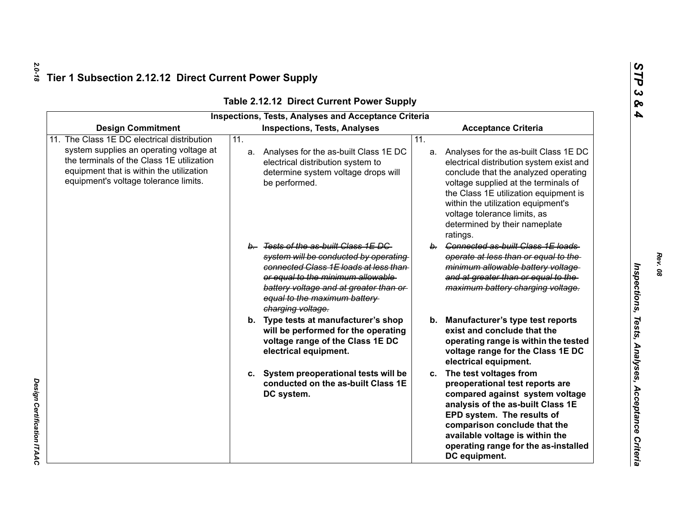| <b>Inspections, Tests, Analyses and Acceptance Criteria</b>                                                                                                                                                              |                                                                                                                                                                                                                                                            |                                                                                                                                                                                                                                                                                                                                         |  |  |  |
|--------------------------------------------------------------------------------------------------------------------------------------------------------------------------------------------------------------------------|------------------------------------------------------------------------------------------------------------------------------------------------------------------------------------------------------------------------------------------------------------|-----------------------------------------------------------------------------------------------------------------------------------------------------------------------------------------------------------------------------------------------------------------------------------------------------------------------------------------|--|--|--|
| <b>Design Commitment</b>                                                                                                                                                                                                 | <b>Inspections, Tests, Analyses</b>                                                                                                                                                                                                                        | <b>Acceptance Criteria</b>                                                                                                                                                                                                                                                                                                              |  |  |  |
| 11. The Class 1E DC electrical distribution<br>system supplies an operating voltage at<br>the terminals of the Class 1E utilization<br>equipment that is within the utilization<br>equipment's voltage tolerance limits. | $\overline{11}$ .<br>a. Analyses for the as-built Class 1E DC<br>electrical distribution system to<br>determine system voltage drops will<br>be performed.                                                                                                 | 11.<br>a. Analyses for the as-built Class 1E DC<br>electrical distribution system exist and<br>conclude that the analyzed operating<br>voltage supplied at the terminals of<br>the Class 1E utilization equipment is<br>within the utilization equipment's<br>voltage tolerance limits, as<br>determined by their nameplate<br>ratings. |  |  |  |
|                                                                                                                                                                                                                          | b. Tests of the as-built Class 1E DC<br>system will be conducted by operating<br>connected Class 1E loads at less than<br>or equal to the minimum allowable<br>battery voltage and at greater than or<br>equal to the maximum battery<br>charging voltage. | b. Connected as-built Class 1E loads<br>operate at less than or equal to the<br>minimum allowable battery voltage<br>and at greater than or equal to the<br>maximum battery charging voltage.                                                                                                                                           |  |  |  |
|                                                                                                                                                                                                                          | b. Type tests at manufacturer's shop<br>will be performed for the operating<br>voltage range of the Class 1E DC<br>electrical equipment.                                                                                                                   | Manufacturer's type test reports<br>b.<br>exist and conclude that the<br>operating range is within the tested<br>voltage range for the Class 1E DC<br>electrical equipment.                                                                                                                                                             |  |  |  |
|                                                                                                                                                                                                                          | c. System preoperational tests will be<br>conducted on the as-built Class 1E<br>DC system.                                                                                                                                                                 | c. The test voltages from<br>preoperational test reports are<br>compared against system voltage<br>analysis of the as-built Class 1E<br>EPD system. The results of<br>comparison conclude that the<br>available voltage is within the<br>operating range for the as-installed<br>DC equipment.                                          |  |  |  |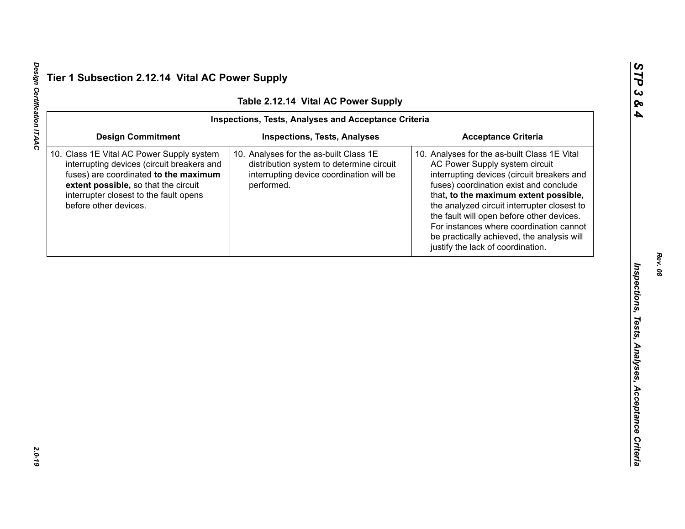Design Certification ITAAC *Design Certification ITAAC 2.0-19*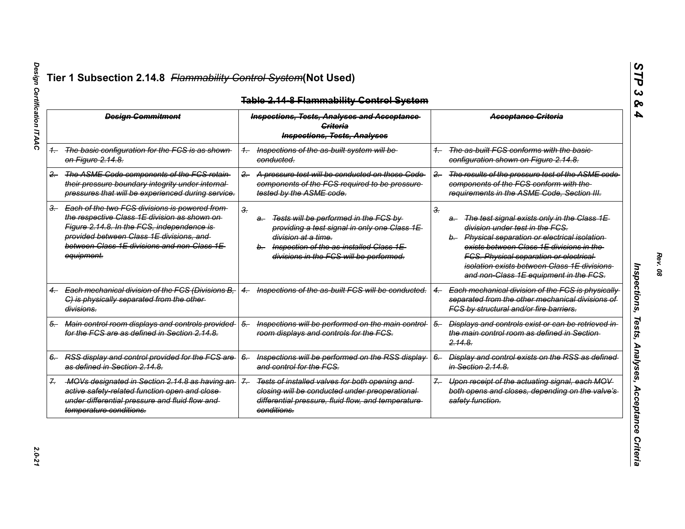| <b>Design Commitment</b> |                                                                                                                                                                                                                                                          | <b>Inspections, Tests, Analyses and Acceptance</b><br>Criteria<br><b>Inspections, Tests, Analyses</b> |                                                                                                                                                                                                       |       | <b>Acceptance Criteria</b>                                                                                                                                                                                                                                                                                                    |
|--------------------------|----------------------------------------------------------------------------------------------------------------------------------------------------------------------------------------------------------------------------------------------------------|-------------------------------------------------------------------------------------------------------|-------------------------------------------------------------------------------------------------------------------------------------------------------------------------------------------------------|-------|-------------------------------------------------------------------------------------------------------------------------------------------------------------------------------------------------------------------------------------------------------------------------------------------------------------------------------|
|                          | 1. The basic configuration for the FCS is as shown<br><del>on Figure 2.14.8.</del>                                                                                                                                                                       | conducted.                                                                                            | Inspections of the as-built system will be                                                                                                                                                            |       | The as-built FCS conforms with the basic-<br>configuration shown on Figure 2.14.8.                                                                                                                                                                                                                                            |
| $2 -$                    | The ASME Code components of the FCS retain<br>their pressure boundary integrity under internal-<br>pressures that will be experienced during service.                                                                                                    | $2 -$                                                                                                 | A pressure test will be conducted on those Code<br>components of the FCS required to be pressure<br>tested by the ASME code.                                                                          | $2 -$ | The results of the pressure test of the ASME code<br>components of the FCS conform with the<br>requirements in the ASME Code, Section III.                                                                                                                                                                                    |
|                          | 3. Each of the two FCS divisions is powered from<br>the respective Class 1E division as shown on-<br>Figure 2.14.8. In the FCS, independence is<br>provided between Class 1E divisions, and<br>between Class 1E divisions and non-Class 1E<br>equipment. | 3.<br>a-                                                                                              | Tests will be performed in the FCS by<br>providing a test signal in only one Class 1E<br>division at a time.<br>b. Inspection of the as-installed Class 1E<br>divisions in the FCS will be performed. | З.    | The test signal exists only in the Class 1E<br>a-<br>division under test in the FCS.<br>b. Physical separation or electrical isolation<br>exists between Class 1E divisions in the<br><b>FCS. Physical separation or electrical</b><br>isolation exists between Class 1E divisions.<br>and non-Class 1E equipment in the FCS. |
|                          | Each mechanical division of the FCS (Divisions B,<br>$4 -$<br>C) is physically separated from the other-<br>divisions.                                                                                                                                   | $^{4-}$                                                                                               | Inspections of the as-built FCS will be conducted.                                                                                                                                                    |       | Each mechanical division of the FCS is physically<br>separated from the other mechanical divisions of<br>FCS by structural and/or fire barriers.                                                                                                                                                                              |
| 5.                       | Main control room displays and controls provided<br>for the FCS are as defined in Section 2.14.8.                                                                                                                                                        | $5-$                                                                                                  | Inspections will be performed on the main control-<br>room displays and controls for the FCS.                                                                                                         | $5-$  | Displays and controls exist or can be retrieved in<br>the main control room as defined in Section-<br><del>2.14.8.</del>                                                                                                                                                                                                      |
|                          | 6. RSS display and control provided for the FCS are<br>as defined in Section 2.14.8.                                                                                                                                                                     | $6-$                                                                                                  | Inspections will be performed on the RSS display-<br>and control for the FCS.                                                                                                                         | $6-$  | Display and control exists on the RSS as defined<br>in Section 2.14.8.                                                                                                                                                                                                                                                        |
|                          | -MOVs designated in Section 2.14.8 as having an-<br>active safety-related function open and close-<br>under differential pressure and fluid flow and<br>temperature conditions.                                                                          | $\mathcal{Z}_{-}$<br>conditions.                                                                      | Tests of installed valves for both opening and<br>closing will be conducted under preoperational-<br>differential pressure, fluid flow, and temperature                                               | $7 -$ | Upon receipt of the actuating signal, each MOV<br>both opens and closes, depending on the valve's<br>safety function.                                                                                                                                                                                                         |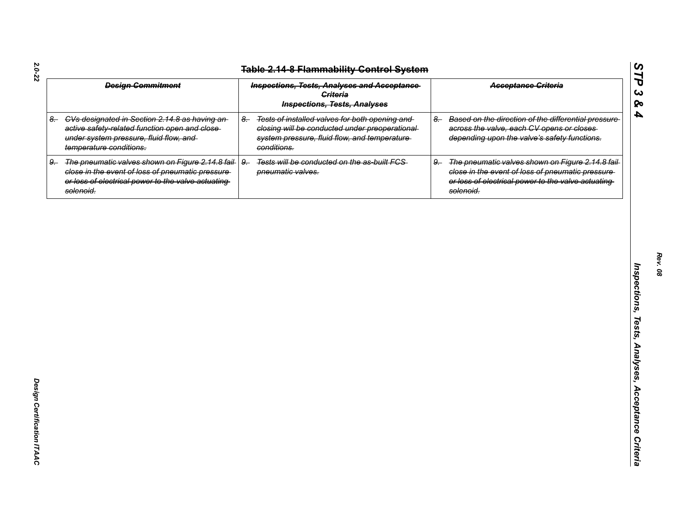| <b>Design Commitment</b> |                                                                                                                                                                            |      | <b>Inspections, Tests, Analyses and Acceptance</b><br><b>Criteria</b><br><b>Inspections, Tests, Analyses</b>                                                      |      |                                                                                                                                                                           |
|--------------------------|----------------------------------------------------------------------------------------------------------------------------------------------------------------------------|------|-------------------------------------------------------------------------------------------------------------------------------------------------------------------|------|---------------------------------------------------------------------------------------------------------------------------------------------------------------------------|
|                          | 8. CVs designated in Section 2.14.8 as having an-<br>active safety-related function open and close-<br>under system pressure, fluid flow, and<br>temperature conditions.   | $8-$ | Tests of installed valves for both opening and<br>closing will be conducted under preoperational-<br>system pressure, fluid flow, and temperature-<br>conditions. | $8-$ | Based on the direction of the differential pressure-<br>across the valve, each CV opens or closes<br>depending upon the valve's safety functions.                         |
| 9.                       | The pneumatic valves shown on Figure 2.14.8 fail-<br>close in the event of loss of pneumatic pressure-<br>or loss of electrical power to the valve actuating-<br>solenoid. | $9-$ | Tests will be conducted on the as-built FCS-<br>pneumatic valves.                                                                                                 | $9-$ | The pneumatic valves shown on Figure 2.14.8 fail-<br>close in the event of loss of pneumatic pressure-<br>or loss of electrical power to the valve actuating<br>solenoid. |
|                          |                                                                                                                                                                            |      |                                                                                                                                                                   |      |                                                                                                                                                                           |
|                          |                                                                                                                                                                            |      |                                                                                                                                                                   |      |                                                                                                                                                                           |
|                          |                                                                                                                                                                            |      |                                                                                                                                                                   |      |                                                                                                                                                                           |
|                          |                                                                                                                                                                            |      |                                                                                                                                                                   |      |                                                                                                                                                                           |
|                          |                                                                                                                                                                            |      |                                                                                                                                                                   |      |                                                                                                                                                                           |
|                          |                                                                                                                                                                            |      |                                                                                                                                                                   |      |                                                                                                                                                                           |
|                          |                                                                                                                                                                            |      |                                                                                                                                                                   |      |                                                                                                                                                                           |
|                          |                                                                                                                                                                            |      |                                                                                                                                                                   |      |                                                                                                                                                                           |

*Rev. 08*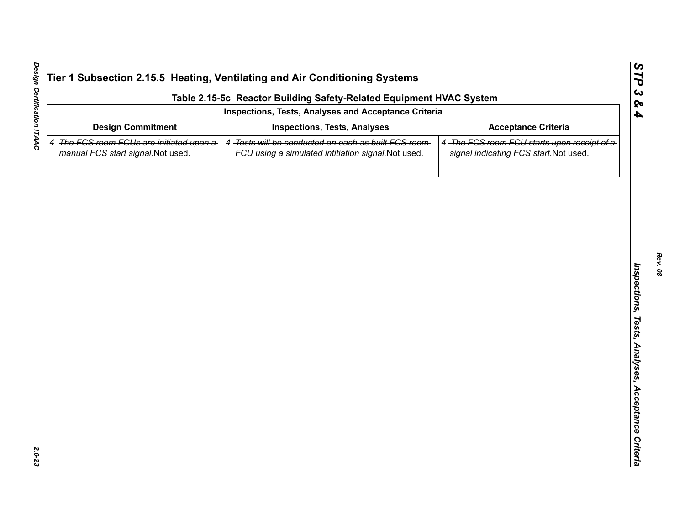| Table 2.15-5c Reactor Building Safety-Related Equipment HVAC System             |                                                                                                             |                                                                                        |  |  |  |  |  |
|---------------------------------------------------------------------------------|-------------------------------------------------------------------------------------------------------------|----------------------------------------------------------------------------------------|--|--|--|--|--|
| Inspections, Tests, Analyses and Acceptance Criteria                            |                                                                                                             |                                                                                        |  |  |  |  |  |
| <b>Design Commitment</b>                                                        | <b>Inspections, Tests, Analyses</b>                                                                         | <b>Acceptance Criteria</b>                                                             |  |  |  |  |  |
| 4. The FCS room FCUs are initiated upon a<br>manual FCS start signal. Not used. | 4. Tests will be conducted on each as built FCS room<br>FCU using a simulated intitiation signal. Not used. | 4. The FCS room FCU starts upon receipt of a<br>signal indicating FCS start. Not used. |  |  |  |  |  |
|                                                                                 |                                                                                                             |                                                                                        |  |  |  |  |  |
|                                                                                 |                                                                                                             |                                                                                        |  |  |  |  |  |
|                                                                                 |                                                                                                             |                                                                                        |  |  |  |  |  |
|                                                                                 |                                                                                                             |                                                                                        |  |  |  |  |  |
|                                                                                 |                                                                                                             |                                                                                        |  |  |  |  |  |
|                                                                                 |                                                                                                             |                                                                                        |  |  |  |  |  |
|                                                                                 |                                                                                                             |                                                                                        |  |  |  |  |  |
|                                                                                 |                                                                                                             |                                                                                        |  |  |  |  |  |
|                                                                                 |                                                                                                             |                                                                                        |  |  |  |  |  |
|                                                                                 |                                                                                                             |                                                                                        |  |  |  |  |  |
|                                                                                 |                                                                                                             |                                                                                        |  |  |  |  |  |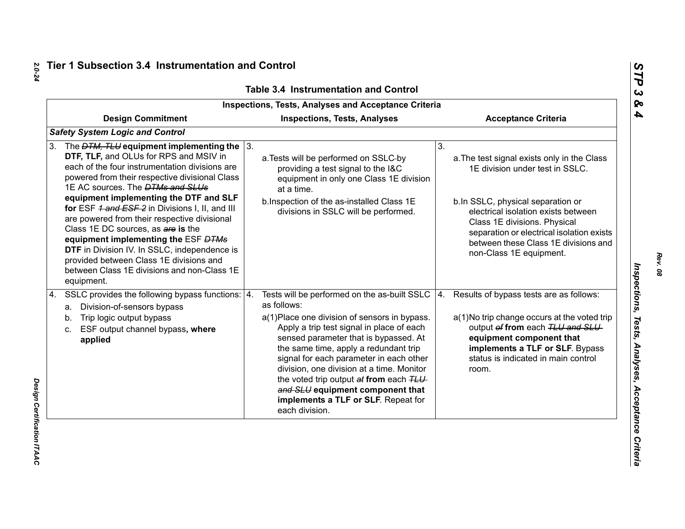| <b>Inspections, Tests, Analyses and Acceptance Criteria</b>                                                                                                                                                                                                                                                                                                                                                                                                                                                                                                                                                                            |                                                                                                                                                                                                                                                                                                                                                                                                                                                                                   |                                                                                                                                                                                                                                                                                                                  |  |  |  |
|----------------------------------------------------------------------------------------------------------------------------------------------------------------------------------------------------------------------------------------------------------------------------------------------------------------------------------------------------------------------------------------------------------------------------------------------------------------------------------------------------------------------------------------------------------------------------------------------------------------------------------------|-----------------------------------------------------------------------------------------------------------------------------------------------------------------------------------------------------------------------------------------------------------------------------------------------------------------------------------------------------------------------------------------------------------------------------------------------------------------------------------|------------------------------------------------------------------------------------------------------------------------------------------------------------------------------------------------------------------------------------------------------------------------------------------------------------------|--|--|--|
| <b>Design Commitment</b>                                                                                                                                                                                                                                                                                                                                                                                                                                                                                                                                                                                                               | <b>Inspections, Tests, Analyses</b>                                                                                                                                                                                                                                                                                                                                                                                                                                               | <b>Acceptance Criteria</b>                                                                                                                                                                                                                                                                                       |  |  |  |
| <b>Safety System Logic and Control</b>                                                                                                                                                                                                                                                                                                                                                                                                                                                                                                                                                                                                 |                                                                                                                                                                                                                                                                                                                                                                                                                                                                                   |                                                                                                                                                                                                                                                                                                                  |  |  |  |
| The $DTM$ , TLU equipment implementing the $\vert$ 3.<br>3.<br>DTF, TLF, and OLUs for RPS and MSIV in<br>each of the four instrumentation divisions are<br>powered from their respective divisional Class<br>1E AC sources. The <b>DTMs and SLUs</b><br>equipment implementing the DTF and SLF<br>for ESF 4 and ESF 2 in Divisions I, II, and III<br>are powered from their respective divisional<br>Class 1E DC sources, as are is the<br>equipment implementing the ESF DTMs<br>DTF in Division IV. In SSLC, independence is<br>provided between Class 1E divisions and<br>between Class 1E divisions and non-Class 1E<br>equipment. | a. Tests will be performed on SSLC-by<br>providing a test signal to the I&C<br>equipment in only one Class 1E division<br>at a time.<br>b. Inspection of the as-installed Class 1E<br>divisions in SSLC will be performed.                                                                                                                                                                                                                                                        | 3.<br>a. The test signal exists only in the Class<br>1E division under test in SSLC.<br>b.In SSLC, physical separation or<br>electrical isolation exists between<br>Class 1E divisions. Physical<br>separation or electrical isolation exists<br>between these Class 1E divisions and<br>non-Class 1E equipment. |  |  |  |
| SSLC provides the following bypass functions:   4.<br>4.<br>a. Division-of-sensors bypass<br>Trip logic output bypass<br>b.<br>ESF output channel bypass, where<br>c.<br>applied                                                                                                                                                                                                                                                                                                                                                                                                                                                       | Tests will be performed on the as-built SSLC $ 4$ .<br>as follows:<br>a(1) Place one division of sensors in bypass.<br>Apply a trip test signal in place of each<br>sensed parameter that is bypassed. At<br>the same time, apply a redundant trip<br>signal for each parameter in each other<br>division, one division at a time. Monitor<br>the voted trip output at from each TLU<br>and SLU equipment component that<br>implements a TLF or SLF. Repeat for<br>each division. | Results of bypass tests are as follows:<br>a(1) No trip change occurs at the voted trip<br>output of from each TLU and SLU<br>equipment component that<br>implements a TLF or SLF. Bypass<br>status is indicated in main control<br>room.                                                                        |  |  |  |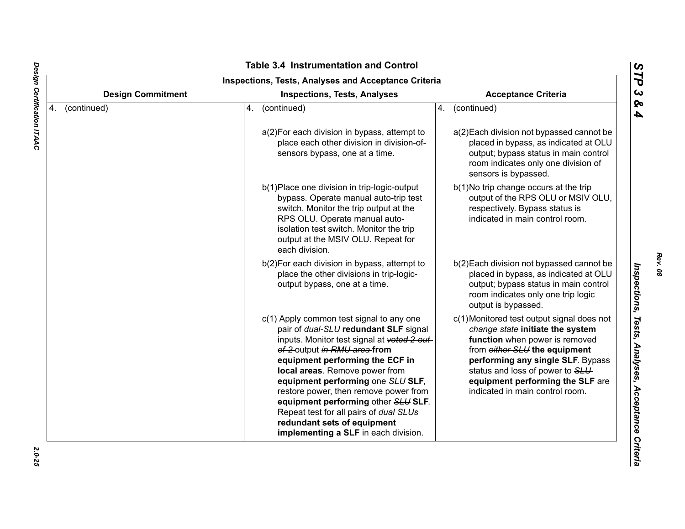| <b>Design Commitment</b><br><b>Acceptance Criteria</b><br><b>Inspections, Tests, Analyses</b> |             |                                                                                                                                                                                                                                                                                                                                                                                                                                                                              |    |                                                                                                                                                                                                                                                                                                   |  |
|-----------------------------------------------------------------------------------------------|-------------|------------------------------------------------------------------------------------------------------------------------------------------------------------------------------------------------------------------------------------------------------------------------------------------------------------------------------------------------------------------------------------------------------------------------------------------------------------------------------|----|---------------------------------------------------------------------------------------------------------------------------------------------------------------------------------------------------------------------------------------------------------------------------------------------------|--|
| 4.                                                                                            | (continued) | (continued)<br>4.                                                                                                                                                                                                                                                                                                                                                                                                                                                            | 4. | (continued)                                                                                                                                                                                                                                                                                       |  |
|                                                                                               |             | a(2) For each division in bypass, attempt to<br>place each other division in division-of-<br>sensors bypass, one at a time.                                                                                                                                                                                                                                                                                                                                                  |    | a(2) Each division not bypassed cannot be<br>placed in bypass, as indicated at OLU<br>output; bypass status in main control<br>room indicates only one division of<br>sensors is bypassed.                                                                                                        |  |
|                                                                                               |             | b(1) Place one division in trip-logic-output<br>bypass. Operate manual auto-trip test<br>switch. Monitor the trip output at the<br>RPS OLU. Operate manual auto-<br>isolation test switch. Monitor the trip<br>output at the MSIV OLU. Repeat for<br>each division.                                                                                                                                                                                                          |    | b(1) No trip change occurs at the trip<br>output of the RPS OLU or MSIV OLU,<br>respectively. Bypass status is<br>indicated in main control room.                                                                                                                                                 |  |
|                                                                                               |             | b(2) For each division in bypass, attempt to<br>place the other divisions in trip-logic-<br>output bypass, one at a time.                                                                                                                                                                                                                                                                                                                                                    |    | b(2) Each division not bypassed cannot be<br>placed in bypass, as indicated at OLU<br>output; bypass status in main control<br>room indicates only one trip logic<br>output is bypassed.                                                                                                          |  |
|                                                                                               |             | c(1) Apply common test signal to any one<br>pair of dual-SLU redundant SLF signal<br>inputs. Monitor test signal at voted 2-out-<br>of-2-output in RMU area-from<br>equipment performing the ECF in<br>local areas. Remove power from<br>equipment performing one SLU SLF,<br>restore power, then remove power from<br>equipment performing other SLU SLF.<br>Repeat test for all pairs of dual SLUs-<br>redundant sets of equipment<br>implementing a SLF in each division. |    | c(1) Monitored test output signal does not<br>change state-initiate the system<br>function when power is removed<br>from either SLU the equipment<br>performing any single SLF. Bypass<br>status and loss of power to SLU-<br>equipment performing the SLF are<br>indicated in main control room. |  |

*Rev. 08*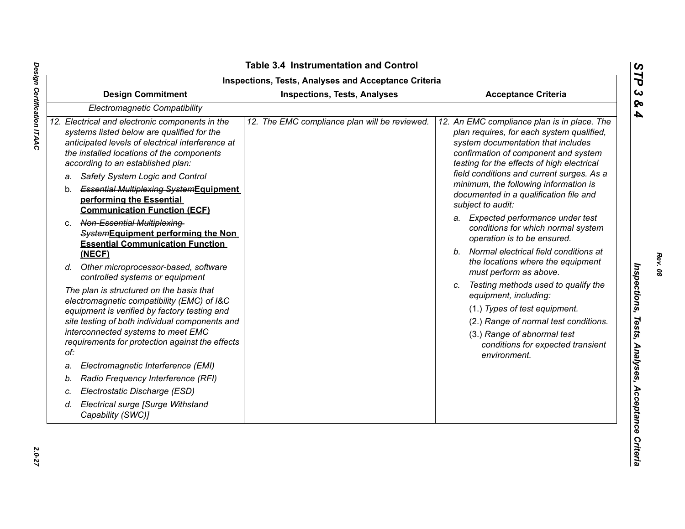|    | <b>Design Commitment</b>                                                                                                                                                                                                                                                                                                                                                                               | <b>Inspections, Tests, Analyses</b>           | <b>Acceptance Criteria</b>                                                                                                                                                                                                                                                                                                                                                                                      |
|----|--------------------------------------------------------------------------------------------------------------------------------------------------------------------------------------------------------------------------------------------------------------------------------------------------------------------------------------------------------------------------------------------------------|-----------------------------------------------|-----------------------------------------------------------------------------------------------------------------------------------------------------------------------------------------------------------------------------------------------------------------------------------------------------------------------------------------------------------------------------------------------------------------|
|    | Electromagnetic Compatibility                                                                                                                                                                                                                                                                                                                                                                          |                                               |                                                                                                                                                                                                                                                                                                                                                                                                                 |
|    | 12. Electrical and electronic components in the<br>systems listed below are qualified for the<br>anticipated levels of electrical interference at<br>the installed locations of the components<br>according to an established plan:<br>Safety System Logic and Control<br>а.<br><b>Essential Multiplexing-SystemEquipment</b><br>b.<br>performing the Essential<br><b>Communication Function (ECF)</b> | 12. The EMC compliance plan will be reviewed. | 12. An EMC compliance plan is in place. The<br>plan requires, for each system qualified,<br>system documentation that includes<br>confirmation of component and system<br>testing for the effects of high electrical<br>field conditions and current surges. As a<br>minimum, the following information is<br>documented in a qualification file and<br>subject to audit:<br>a. Expected performance under test |
|    | Non-Essential Multiplexing-<br>C.<br>SystemEquipment performing the Non<br><b>Essential Communication Function</b><br>(NECF)                                                                                                                                                                                                                                                                           |                                               | conditions for which normal system<br>operation is to be ensured.<br>Normal electrical field conditions at<br>$b_{-}$                                                                                                                                                                                                                                                                                           |
|    | d. Other microprocessor-based, software<br>controlled systems or equipment                                                                                                                                                                                                                                                                                                                             |                                               | the locations where the equipment<br>must perform as above.                                                                                                                                                                                                                                                                                                                                                     |
|    | The plan is structured on the basis that<br>electromagnetic compatibility (EMC) of I&C<br>equipment is verified by factory testing and<br>site testing of both individual components and<br>interconnected systems to meet EMC<br>requirements for protection against the effects<br>of:                                                                                                               |                                               | Testing methods used to qualify the<br>equipment, including:<br>(1.) Types of test equipment.<br>(2.) Range of normal test conditions.<br>(3.) Range of abnormal test<br>conditions for expected transient<br>environment.                                                                                                                                                                                      |
| a. | Electromagnetic Interference (EMI)                                                                                                                                                                                                                                                                                                                                                                     |                                               |                                                                                                                                                                                                                                                                                                                                                                                                                 |
| b. | Radio Frequency Interference (RFI)                                                                                                                                                                                                                                                                                                                                                                     |                                               |                                                                                                                                                                                                                                                                                                                                                                                                                 |
| c. | Electrostatic Discharge (ESD)                                                                                                                                                                                                                                                                                                                                                                          |                                               |                                                                                                                                                                                                                                                                                                                                                                                                                 |
| d. | Electrical surge [Surge Withstand<br>Capability (SWC)]                                                                                                                                                                                                                                                                                                                                                 |                                               |                                                                                                                                                                                                                                                                                                                                                                                                                 |

Design Certification ITAAC *Design Certification ITAAC 2.0-27*

*Rev. 08*